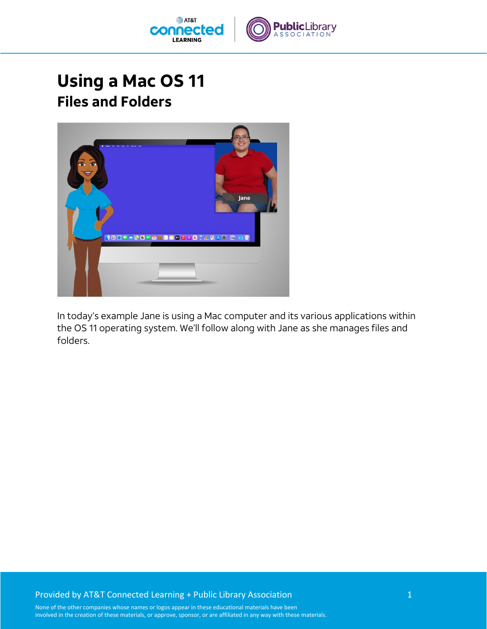

## **Using a Mac OS 11 Files and Folders**



In today's example Jane is using a Mac computer and its various applications within the OS 11 operating system. We'll follow along with Jane as she manages files and folders.

## Provided by AT&T Connected Learning + Public Library Association 1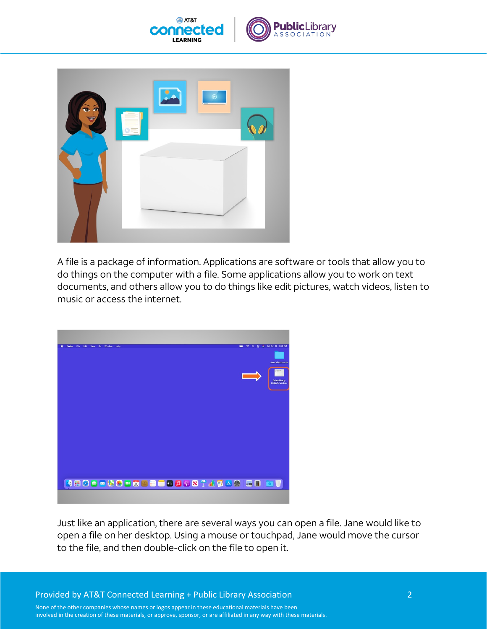





A file is a package of information. Applications are software or tools that allow you to do things on the computer with a file. Some applications allow you to work on text documents, and others allow you to do things like edit pictures, watch videos, listen to music or access the internet.



Just like an application, there are several ways you can open a file. Jane would like to open a file on her desktop. Using a mouse or touchpad, Jane would move the cursor to the file, and then double-click on the file to open it.

Provided by AT&T Connected Learning + Public Library Association 2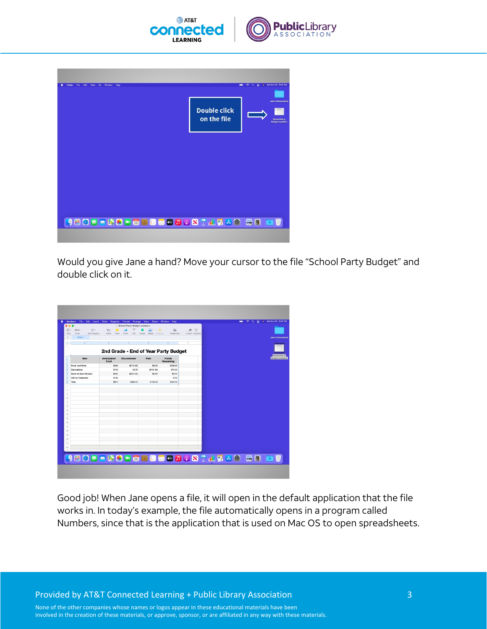

| Finder<br>File<br>Edit<br>View<br>Go<br>Window<br>Help |                                    | # Sat Oct 30 3:05 PM<br>$\Rightarrow$<br>$\alpha$<br>雲                  |
|--------------------------------------------------------|------------------------------------|-------------------------------------------------------------------------|
|                                                        | <b>Double click</b><br>on the file | <b>Jane's Documents</b><br><b>School Party</b><br><b>Budget.numbers</b> |
|                                                        |                                    |                                                                         |
|                                                        |                                    |                                                                         |
|                                                        |                                    |                                                                         |
| <b>JEODE &amp; SH 500 B B B D 8 T A T A G R B B</b>    |                                    |                                                                         |

Would you give Jane a hand? Move your cursor to the file "School Party Budget" and double click on it.

| View           | Add Category<br>Zoom         | <b>IFI</b><br><b>Insert</b><br>Table | Chart<br>Text                        | بالدة<br>Shape<br>Media | $\mathbb{Z}$<br>×<br>Collaborate<br>Commert | $\odot$<br>м<br>Format Organize |                                              |
|----------------|------------------------------|--------------------------------------|--------------------------------------|-------------------------|---------------------------------------------|---------------------------------|----------------------------------------------|
| ÷              | Sheet 1                      |                                      |                                      |                         |                                             |                                 | <b>Jane's Documents</b>                      |
| σ              | $\overline{1}$               | $\overline{R}$                       | c                                    | $\circ$                 | ×                                           | ×                               |                                              |
|                |                              |                                      | 2nd Grade - End of Year Party Budget |                         |                                             |                                 |                                              |
|                | Item                         | <b>Anticipated</b><br>Cost           | Encumbered                           | Paid                    | <b>Funds</b><br>Remaining                   |                                 | <b>School Party</b><br><b>Budget.numbers</b> |
|                | Food and Drink               | \$400                                | (5172.00)                            | \$0.00                  | \$228.00                                    |                                 |                                              |
|                | Decorations                  | \$150                                | \$0.00                               | (\$135.00)              | \$15.00                                     |                                 |                                              |
|                | <b>Book for Each Student</b> | \$225                                | (\$224.25)                           | \$0.00                  | \$0.75                                      |                                 |                                              |
|                | Gift for Classroom           | \$100                                |                                      |                         | \$100                                       |                                 |                                              |
| ×              | Total                        | \$875                                | $-8396.25$                           | $-$135.00$              | \$343.75                                    |                                 |                                              |
|                |                              |                                      |                                      |                         |                                             |                                 |                                              |
| <b>B</b>       |                              |                                      |                                      |                         |                                             |                                 |                                              |
| $\overline{9}$ |                              |                                      |                                      |                         |                                             |                                 |                                              |
| lso)<br>m      |                              |                                      |                                      |                         |                                             |                                 |                                              |
| 12             |                              |                                      |                                      |                         |                                             |                                 |                                              |
| 13             |                              |                                      |                                      |                         |                                             |                                 |                                              |
| sal            |                              |                                      |                                      |                         |                                             |                                 |                                              |
| m              |                              |                                      |                                      |                         |                                             |                                 |                                              |
| ns)            |                              |                                      |                                      |                         |                                             |                                 |                                              |
| 77             |                              |                                      |                                      |                         |                                             |                                 |                                              |
| $^{18}$        |                              |                                      |                                      |                         |                                             |                                 |                                              |
| $ v_0 $        |                              |                                      |                                      |                         |                                             |                                 |                                              |
| 20             |                              |                                      |                                      |                         |                                             |                                 |                                              |
| 21<br> 22      |                              |                                      |                                      |                         |                                             |                                 |                                              |
|                |                              |                                      |                                      |                         |                                             |                                 |                                              |

Good job! When Jane opens a file, it will open in the default application that the file works in. In today's example, the file automatically opens in a program called Numbers, since that is the application that is used on Mac OS to open spreadsheets.

Provided by AT&T Connected Learning + Public Library Association 3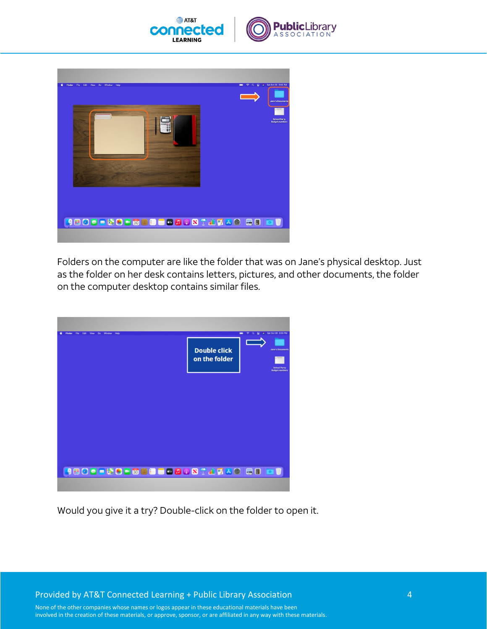





Folders on the computer are like the folder that was on Jane's physical desktop. Just as the folder on her desk contains letters, pictures, and other documents, the folder on the computer desktop contains similar files.

| Finder File Edit View Go Window Help                   | → Q 記 # Sat Oct 30 3:05 PM<br>-                                                                                   |
|--------------------------------------------------------|-------------------------------------------------------------------------------------------------------------------|
|                                                        | <b>Double click</b><br><b>Jane's Documents</b><br>on the folder<br><b>School Party</b><br><b>Budget</b> , numbers |
|                                                        |                                                                                                                   |
|                                                        |                                                                                                                   |
| <b>JEQO - 20 - 5 3 3 8 - 6 4 9 8 T 4 7 4 0 5 8 8 8</b> |                                                                                                                   |

Would you give it a try? Double-click on the folder to open it.

Provided by AT&T Connected Learning + Public Library Association 4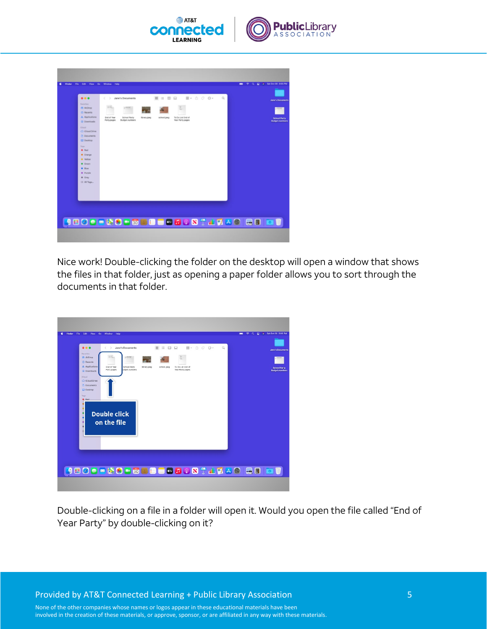

| (C) Recents<br>A Applications<br>End of Year<br>To Do List End of<br>School Party<br>Ibrary.jpeg<br>school.jpeg<br>Year Party pages<br>Party pages<br><b>Budget numbers</b><br>(a) Downloads<br><b>Street</b><br>C iCloud Drive<br><b>Documents</b><br><b>CD</b> Desktop<br>Team<br>· Red<br><b>C</b> Orange<br><b>Wallow</b><br>· Green<br>$\bullet$ Blue<br>· Purple<br><b>a</b> Gray<br>C All Tags | 0.0.0<br>Favoritas<br>( <sup>1</sup> ) AirDrop | ×.<br>Jane's Documents<br>- 5 | <b>B</b> = 0 0 | $\mathbb{B}$ + $\theta$ $\theta$ + | $\alpha$ | <b>Jane's Documents</b>                      |
|-------------------------------------------------------------------------------------------------------------------------------------------------------------------------------------------------------------------------------------------------------------------------------------------------------------------------------------------------------------------------------------------------------|------------------------------------------------|-------------------------------|----------------|------------------------------------|----------|----------------------------------------------|
|                                                                                                                                                                                                                                                                                                                                                                                                       |                                                |                               |                |                                    |          | <b>School Party</b><br><b>Budget.numbers</b> |
|                                                                                                                                                                                                                                                                                                                                                                                                       |                                                |                               |                |                                    |          |                                              |
|                                                                                                                                                                                                                                                                                                                                                                                                       |                                                |                               |                |                                    |          |                                              |
|                                                                                                                                                                                                                                                                                                                                                                                                       |                                                |                               |                |                                    |          |                                              |
|                                                                                                                                                                                                                                                                                                                                                                                                       |                                                |                               |                |                                    |          |                                              |
|                                                                                                                                                                                                                                                                                                                                                                                                       |                                                |                               |                |                                    |          |                                              |

Nice work! Double-clicking the folder on the desktop will open a window that shows the files in that folder, just as opening a paper folder allows you to sort through the documents in that folder.

| File Edit View Go Window Help<br>Finder                                                                                                                                          | <b>E2 # Sat Oct 30 3:05 PM</b><br>$\hat{\mathcal{P}}$ a<br>- |
|----------------------------------------------------------------------------------------------------------------------------------------------------------------------------------|--------------------------------------------------------------|
| E- △ ○ ⊖-<br>$\mathbb{R}$ = $\mathbb{R}$<br><br>Q<br>Jane's Documents<br>Ł.<br>$\rightarrow$<br>Favorites<br><b>Pt</b> AirDrop                                                   | <b>Jane's Documents</b>                                      |
| C Recents<br>A Applications<br>End of Year<br>School Party<br>school.jpeg<br>To Do List End of<br>Ibrary.jpeg<br>Year Party.pages<br>Party.pages<br>udget.numbers<br>@ Downloads | <b>School Party</b><br><b>Budget.numbers</b>                 |
| <b>icloud</b><br>C iCloud Drive<br><b>Documents</b>                                                                                                                              |                                                              |
| <b>Desktop</b><br>Tags<br>$Q$ . Red.                                                                                                                                             |                                                              |
| <b>Double click</b>                                                                                                                                                              |                                                              |
| on the file                                                                                                                                                                      |                                                              |
| a                                                                                                                                                                                |                                                              |
|                                                                                                                                                                                  |                                                              |
|                                                                                                                                                                                  |                                                              |
| <b>JBOOD &amp; B - 500 B - 600 A 0 N T A 7 A 0 G B</b>                                                                                                                           |                                                              |

Double-clicking on a file in a folder will open it. Would you open the file called "End of Year Party" by double-clicking on it?

Provided by AT&T Connected Learning + Public Library Association 5